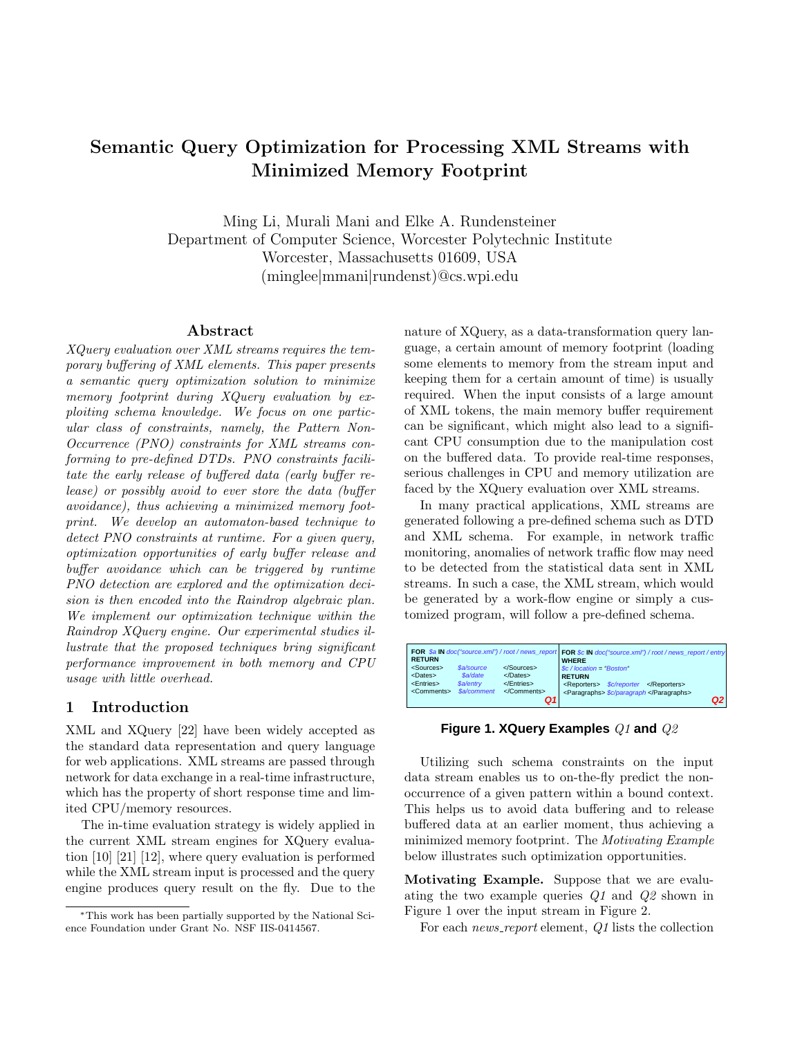# Semantic Query Optimization for Processing XML Streams with Minimized Memory Footprint

Ming Li, Murali Mani and Elke A. Rundensteiner Department of Computer Science, Worcester Polytechnic Institute Worcester, Massachusetts 01609, USA (minglee|mmani|rundenst)@cs.wpi.edu

# Abstract

XQuery evaluation over XML streams requires the temporary buffering of XML elements. This paper presents a semantic query optimization solution to minimize memory footprint during XQuery evaluation by exploiting schema knowledge. We focus on one particular class of constraints, namely, the Pattern Non-Occurrence (PNO) constraints for XML streams conforming to pre-defined DTDs. PNO constraints facilitate the early release of buffered data (early buffer release) or possibly avoid to ever store the data (buffer avoidance), thus achieving a minimized memory footprint. We develop an automaton-based technique to detect PNO constraints at runtime. For a given query, optimization opportunities of early buffer release and buffer avoidance which can be triggered by runtime PNO detection are explored and the optimization decision is then encoded into the Raindrop algebraic plan. We implement our optimization technique within the Raindrop XQuery engine. Our experimental studies illustrate that the proposed techniques bring significant performance improvement in both memory and CPU usage with little overhead.

## 1 Introduction

XML and XQuery [22] have been widely accepted as the standard data representation and query language for web applications. XML streams are passed through network for data exchange in a real-time infrastructure, which has the property of short response time and limited CPU/memory resources.

The in-time evaluation strategy is widely applied in the current XML stream engines for XQuery evaluation [10] [21] [12], where query evaluation is performed while the XML stream input is processed and the query engine produces query result on the fly. Due to the

nature of XQuery, as a data-transformation query language, a certain amount of memory footprint (loading some elements to memory from the stream input and keeping them for a certain amount of time) is usually required. When the input consists of a large amount of XML tokens, the main memory buffer requirement can be significant, which might also lead to a significant CPU consumption due to the manipulation cost on the buffered data. To provide real-time responses, serious challenges in CPU and memory utilization are faced by the XQuery evaluation over XML streams.

In many practical applications, XML streams are generated following a pre-defined schema such as DTD and XML schema. For example, in network traffic monitoring, anomalies of network traffic flow may need to be detected from the statistical data sent in XML streams. In such a case, the XML stream, which would be generated by a work-flow engine or simply a customized program, will follow a pre-defined schema.

| <b>RETURN</b>                                                                                                                                                    |                               | FOR \$a IN doc("source.xml") / root / news_reporl FOR \$c IN doc("source.xml") / root / news_report / entry<br><b>WHERE</b>                                        |
|------------------------------------------------------------------------------------------------------------------------------------------------------------------|-------------------------------|--------------------------------------------------------------------------------------------------------------------------------------------------------------------|
| <sources><br/><i><b>Sa/source</b></i><br/>\$a/date<br/><dates><br/><entries><br/>\$a/entry<br/>\$a/comment<br/><comments></comments></entries></dates></sources> | <br>$<$ /Dates><br><br><br>О1 | $\&c$ / location = "Boston"<br><b>RETURN</b><br><i><b>Sc/reporter</b></i><br><reporters><br/></reporters><br><paragraphs> <i>\$c/paragraph </i></paragraphs><br>Q2 |

# **Figure 1. XQuery Examples** Q1 **and** Q2

Utilizing such schema constraints on the input data stream enables us to on-the-fly predict the nonoccurrence of a given pattern within a bound context. This helps us to avoid data buffering and to release buffered data at an earlier moment, thus achieving a minimized memory footprint. The Motivating Example below illustrates such optimization opportunities.

Motivating Example. Suppose that we are evaluating the two example queries Q1 and Q2 shown in Figure 1 over the input stream in Figure 2.

For each *news\_report* element, Q1 lists the collection

<sup>∗</sup>This work has been partially supported by the National Science Foundation under Grant No. NSF IIS-0414567.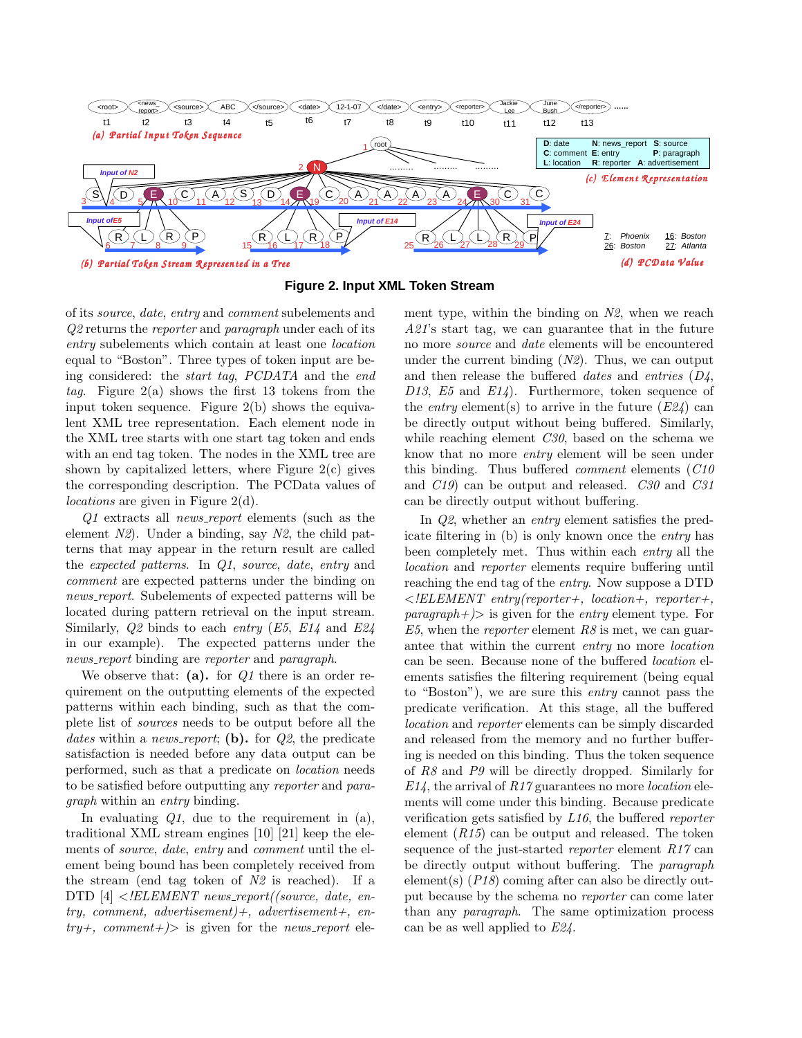

**Figure 2. Input XML Token Stream**

of its source, date, entry and comment subelements and Q2 returns the *reporter* and *paragraph* under each of its entry subelements which contain at least one location equal to "Boston". Three types of token input are being considered: the start tag, PCDATA and the end tag. Figure  $2(a)$  shows the first 13 tokens from the input token sequence. Figure 2(b) shows the equivalent XML tree representation. Each element node in the XML tree starts with one start tag token and ends with an end tag token. The nodes in the XML tree are shown by capitalized letters, where Figure  $2(c)$  gives the corresponding description. The PCData values of locations are given in Figure 2(d).

Q1 extracts all *news\_report* elements (such as the element  $N2$ ). Under a binding, say  $N2$ , the child patterns that may appear in the return result are called the expected patterns. In Q1, source, date, entry and comment are expected patterns under the binding on news\_report. Subelements of expected patterns will be located during pattern retrieval on the input stream. Similarly,  $Q2$  binds to each entry  $(E5, E14)$  and  $E24$ in our example). The expected patterns under the news\_report binding are reporter and paragraph.

We observe that: (a). for  $Q1$  there is an order requirement on the outputting elements of the expected patterns within each binding, such as that the complete list of sources needs to be output before all the dates within a news\_report; (b). for  $Q2$ , the predicate satisfaction is needed before any data output can be performed, such as that a predicate on location needs to be satisfied before outputting any reporter and paragraph within an entry binding.

In evaluating  $Q_1$ , due to the requirement in  $(a)$ , traditional XML stream engines [10] [21] keep the elements of source, date, entry and comment until the element being bound has been completely received from the stream (end tag token of  $N2$  is reached). If a DTD  $[4] < ELEMENT$  news\_report((source, date, entry, comment, advertisement)+, advertisement+, en $try+,$  comment  $\neq$  is given for the news report element type, within the binding on  $N_2$ , when we reach A21's start tag, we can guarantee that in the future no more source and date elements will be encountered under the current binding  $(N2)$ . Thus, we can output and then release the buffered *dates* and *entries*  $(D_4,$ D13, E5 and E14). Furthermore, token sequence of the *entry* element(s) to arrive in the future  $(E24)$  can be directly output without being buffered. Similarly, while reaching element C30, based on the schema we know that no more entry element will be seen under this binding. Thus buffered comment elements (C10 and C19) can be output and released. C30 and C31 can be directly output without buffering.

In Q2, whether an entry element satisfies the predicate filtering in (b) is only known once the entry has been completely met. Thus within each entry all the location and reporter elements require buffering until reaching the end tag of the entry. Now suppose a DTD  $\leq !ELEMENT$  entry(reporter+, location+, reporter+,  $paragnath \rightarrow \infty$  is given for the *entry* element type. For E5, when the *reporter* element  $R\delta$  is met, we can guarantee that within the current entry no more location can be seen. Because none of the buffered location elements satisfies the filtering requirement (being equal to "Boston"), we are sure this entry cannot pass the predicate verification. At this stage, all the buffered location and reporter elements can be simply discarded and released from the memory and no further buffering is needed on this binding. Thus the token sequence of R8 and P9 will be directly dropped. Similarly for  $E14$ , the arrival of  $R17$  guarantees no more *location* elements will come under this binding. Because predicate verification gets satisfied by L16, the buffered reporter element  $(R15)$  can be output and released. The token sequence of the just-started *reporter* element R17 can be directly output without buffering. The paragraph element(s)  $(P18)$  coming after can also be directly output because by the schema no reporter can come later than any paragraph. The same optimization process can be as well applied to E24.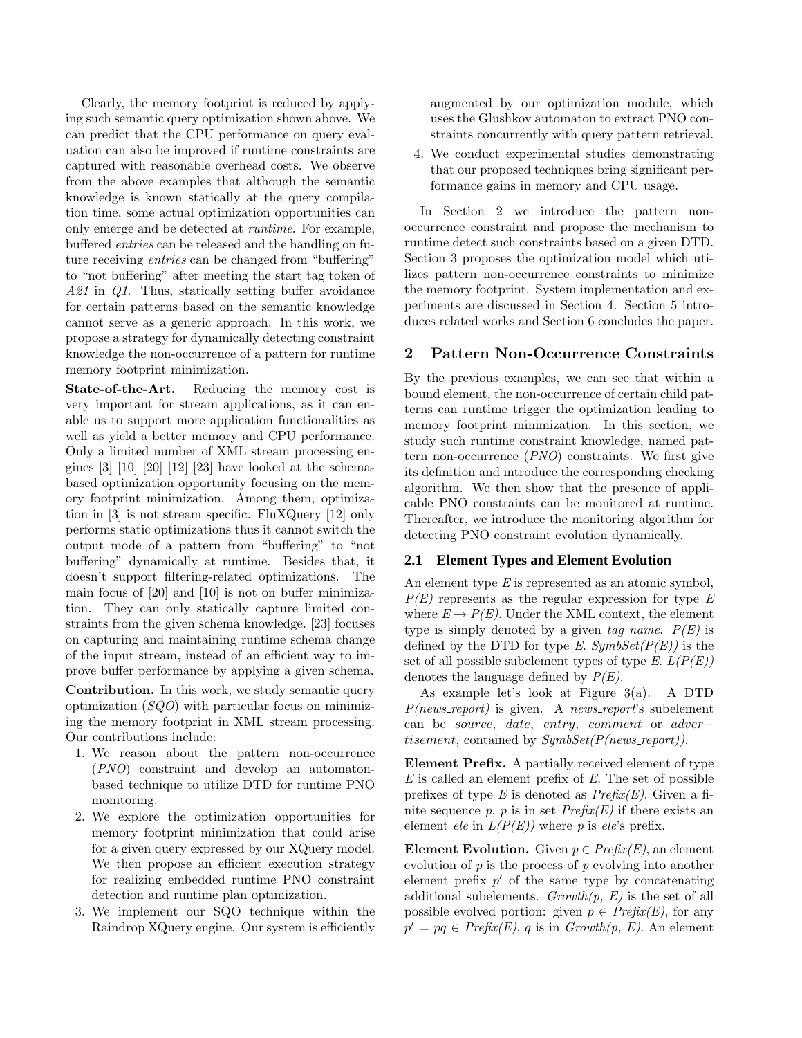Clearly, the memory footprint is reduced by applying such semantic query optimization shown above. We can predict that the CPU performance on query evaluation can also be improved if runtime constraints are captured with reasonable overhead costs. We observe from the above examples that although the semantic knowledge is known statically at the query compilation time, some actual optimization opportunities can only emerge and be detected at runtime. For example, buffered entries can be released and the handling on future receiving entries can be changed from "buffering" to "not buffering" after meeting the start tag token of A21 in Q1. Thus, statically setting buffer avoidance for certain patterns based on the semantic knowledge cannot serve as a generic approach. In this work, we propose a strategy for dynamically detecting constraint knowledge the non-occurrence of a pattern for runtime memory footprint minimization.

State-of-the-Art. Reducing the memory cost is very important for stream applications, as it can enable us to support more application functionalities as well as yield a better memory and CPU performance. Only a limited number of XML stream processing engines  $[3]$   $[10]$   $[20]$   $[12]$   $[23]$  have looked at the schemabased optimization opportunity focusing on the memory footprint minimization. Among them, optimization in [3] is not stream specific. FluXQuery [12] only performs static optimizations thus it cannot switch the output mode of a pattern from "buffering" to "not buffering" dynamically at runtime. Besides that, it doesn't support filtering-related optimizations. The main focus of [20] and [10] is not on buffer minimization. They can only statically capture limited constraints from the given schema knowledge. [23] focuses on capturing and maintaining runtime schema change of the input stream, instead of an efficient way to improve buffer performance by applying a given schema.

Contribution. In this work, we study semantic query optimization  $(SQO)$  with particular focus on minimizing the memory footprint in XML stream processing. Our contributions include:

- 1. We reason about the pattern non-occurrence (PNO) constraint and develop an automatonbased technique to utilize DTD for runtime PNO monitoring.
- 2. We explore the optimization opportunities for memory footprint minimization that could arise for a given query expressed by our XQuery model. We then propose an efficient execution strategy for realizing embedded runtime PNO constraint detection and runtime plan optimization.
- 3. We implement our SQO technique within the Raindrop XQuery engine. Our system is efficiently

augmented by our optimization module, which uses the Glushkov automaton to extract PNO constraints concurrently with query pattern retrieval.

4. We conduct experimental studies demonstrating that our proposed techniques bring significant performance gains in memory and CPU usage.

In Section 2 we introduce the pattern nonoccurrence constraint and propose the mechanism to runtime detect such constraints based on a given DTD. Section 3 proposes the optimization model which utilizes pattern non-occurrence constraints to minimize the memory footprint. System implementation and experiments are discussed in Section 4. Section 5 introduces related works and Section 6 concludes the paper.

# 2 Pattern Non-Occurrence Constraints

By the previous examples, we can see that within a bound element, the non-occurrence of certain child patterns can runtime trigger the optimization leading to memory footprint minimization. In this section, we study such runtime constraint knowledge, named pattern non-occurrence (PNO) constraints. We first give its definition and introduce the corresponding checking algorithm. We then show that the presence of applicable PNO constraints can be monitored at runtime. Thereafter, we introduce the monitoring algorithm for detecting PNO constraint evolution dynamically.

# **2.1 Element Types and Element Evolution**

An element type  $E$  is represented as an atomic symbol,  $P(E)$  represents as the regular expression for type E where  $E \to P(E)$ . Under the XML context, the element type is simply denoted by a given tag name.  $P(E)$  is defined by the DTD for type E.  $SymbSet(P(E))$  is the set of all possible subelement types of type E.  $L(P(E))$ denotes the language defined by  $P(E)$ .

As example let's look at Figure 3(a). A DTD  $P(new\_report)$  is given. A news\_report's subelement can be source, date, entry, comment or adver− *tisement*, contained by  $SynbSet(P(new\vspace{-0.1cm}/1).$ 

Element Prefix. A partially received element of type  $E$  is called an element prefix of  $E$ . The set of possible prefixes of type E is denoted as  $Prefix(E)$ . Given a finite sequence p, p is in set  $Prefix(E)$  if there exists an element *ele* in  $L(P(E))$  where p is *ele*'s prefix.

Element Evolution. Given  $p \in Prefix(E)$ , an element evolution of  $p$  is the process of  $p$  evolving into another element prefix  $p'$  of the same type by concatenating additional subelements.  $Growth(p, E)$  is the set of all possible evolved portion: given  $p \in \text{Prefix}(E)$ , for any  $p' = pq \in Prefx(E), q$  is in  $Growth(p, E)$ . An element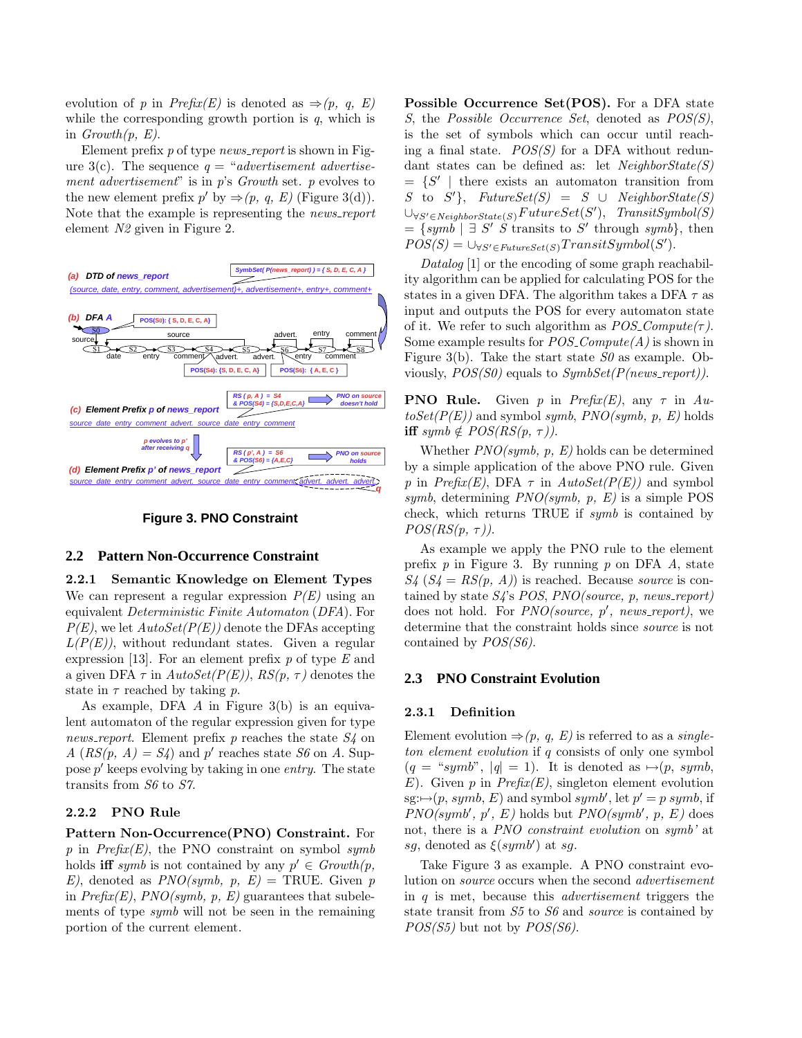evolution of p in  $Prefix(E)$  is denoted as  $\Rightarrow (p, q, E)$ while the corresponding growth portion is  $q$ , which is in  $Growth(p, E)$ .

Element prefix  $p$  of type *news\_report* is shown in Figure 3(c). The sequence  $q = "advertisement advertise$ ment advertisement" is in  $p$ 's Growth set. p evolves to the new element prefix  $p'$  by  $\Rightarrow (p, q, E)$  (Figure 3(d)). Note that the example is representing the *news\_report* element N2 given in Figure 2.



**Figure 3. PNO Constraint**

#### **2.2 Pattern Non-Occurrence Constraint**

2.2.1 Semantic Knowledge on Element Types We can represent a regular expression  $P(E)$  using an equivalent Deterministic Finite Automaton (DFA). For  $P(E)$ , we let  $AutoSet(P(E))$  denote the DFAs accepting  $L(P(E))$ , without redundant states. Given a regular expression [13]. For an element prefix  $p$  of type  $E$  and a given DFA  $\tau$  in  $AutoSet(P(E)), RS(p, \tau)$  denotes the state in  $\tau$  reached by taking p.

As example, DFA A in Figure 3(b) is an equivalent automaton of the regular expression given for type news report. Element prefix  $p$  reaches the state  $S<sub>4</sub>$  on  $A(RS(p, A) = S4)$  and p' reaches state S6 on A. Suppose p' keeps evolving by taking in one entry. The state transits from S6 to S7.

### 2.2.2 PNO Rule

Pattern Non-Occurrence(PNO) Constraint. For p in  $Prefix(E)$ , the PNO constraint on symbol symb holds **iff** symb is not contained by any  $p' \in Growth(p,$ E), denoted as  $PNO(symb, p, E) = \text{TRUE}$ . Given p in  $Prefix(E)$ ,  $PNO(symb, p, E)$  guarantees that subelements of type symb will not be seen in the remaining portion of the current element.

Possible Occurrence Set(POS). For a DFA state S, the Possible Occurrence Set, denoted as POS(S), is the set of symbols which can occur until reaching a final state.  $POS(S)$  for a DFA without redundant states can be defined as: let  $NeighbourState(S)$  $= \{S' \mid \text{there exists an automaton transition from}\}$ S to  $S'$ }, FutureSet(S) = S ∪ NeighborState(S)  $\cup_{\forall S' \in Neighborsate(S)} FutureSet(S')$ , TransitSymbol(S)  $=\{symb\mid \exists S' \ \dot{S} \text{ transits to } S' \text{ through } symbol\},\$  $POS(S) = \bigcup_{\forall S' \in FutureSet(S)} TransitSymbol(S').$ 

Datalog [1] or the encoding of some graph reachability algorithm can be applied for calculating POS for the states in a given DFA. The algorithm takes a DFA  $\tau$  as input and outputs the POS for every automaton state of it. We refer to such algorithm as  $POS_{\mathcal{L}}Compute(\tau)$ . Some example results for  $POS_{\sim}Compute(A)$  is shown in Figure 3(b). Take the start state  $S\theta$  as example. Obviously,  $POS(S0)$  equals to  $SymbSet(P(new support)).$ 

**PNO Rule.** Given p in Prefix(E), any  $\tau$  in Au $toSet(P(E))$  and symbol symb,  $PNO(symb, p, E)$  holds iff symb  $\notin POS(RS(p, \tau))$ .

Whether  $PNO(symb, p, E)$  holds can be determined by a simple application of the above PNO rule. Given p in  $Prefix(E)$ , DFA  $\tau$  in  $AutoSet(P(E))$  and symbol symb, determining  $PNO(symb, p, E)$  is a simple POS check, which returns TRUE if symb is contained by  $POS(RS(p, \tau)).$ 

As example we apply the PNO rule to the element prefix  $p$  in Figure 3. By running  $p$  on DFA  $A$ , state  $S_4$   $(S_4 = RS(p, A))$  is reached. Because source is contained by state  $S_4$ 's POS, PNO(source, p, news\_report) does not hold. For *PNO*(source, p', news\_report), we determine that the constraint holds since source is not contained by POS(S6).

# **2.3 PNO Constraint Evolution**

#### 2.3.1 Definition

Element evolution  $\Rightarrow$   $(p, q, E)$  is referred to as a *single*ton element evolution if q consists of only one symbol  $(q = "symb", |q| = 1)$ . It is denoted as  $\mapsto (p, symb,$  $E$ ). Given p in  $Prefix(E)$ , singleton element evolution sg: $\mapsto$ (p, symb, E) and symbol symb', let  $p' = p$  symb, if  $PNO(symb', p', E)$  holds but  $PNO(symb', p, E)$  does not, there is a PNO constraint evolution on symb' at sg, denoted as  $\xi(symb')$  at sg.

Take Figure 3 as example. A PNO constraint evolution on source occurs when the second advertisement in  $q$  is met, because this *advertisement* triggers the state transit from  $S5$  to  $S6$  and *source* is contained by  $POS(S5)$  but not by  $POS(S6)$ .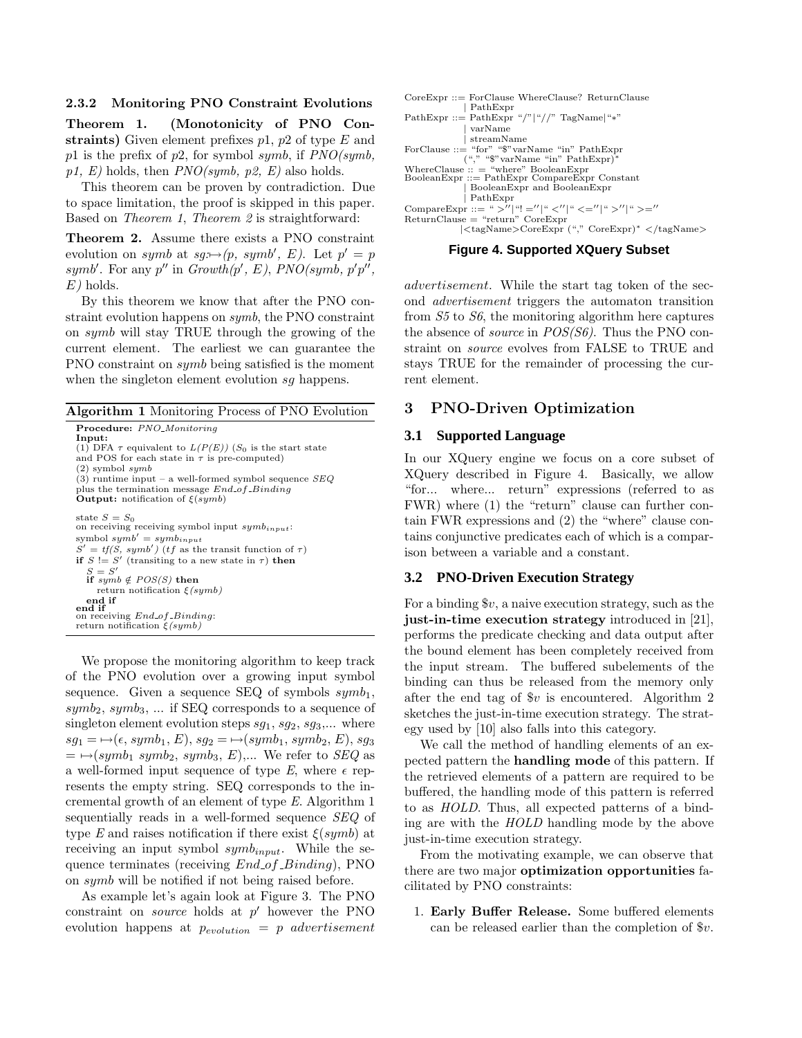#### 2.3.2 Monitoring PNO Constraint Evolutions

Theorem 1. (Monotonicity of PNO Constraints) Given element prefixes  $p1$ ,  $p2$  of type E and p1 is the prefix of p2, for symbol symb, if  $PNO(symb)$ ,  $p1, E$ ) holds, then  $PNO(symb, p2, E)$  also holds.

This theorem can be proven by contradiction. Due to space limitation, the proof is skipped in this paper. Based on Theorem 1, Theorem 2 is straightforward:

Theorem 2. Assume there exists a PNO constraint evolution on symb at  $sg: \rightarrow (p, \; symbol', \; E)$ . Let  $p' = p$ symb'. For any  $p''$  in  $Growth(p', E)$ ,  $PNO(symb, p'p'',$  $E)$  holds.

By this theorem we know that after the PNO constraint evolution happens on symb, the PNO constraint on symb will stay TRUE through the growing of the current element. The earliest we can guarantee the PNO constraint on symb being satisfied is the moment when the singleton element evolution sq happens.

| <b>Algorithm 1</b> Monitoring Process of PNO Evolution                                                                                   |
|------------------------------------------------------------------------------------------------------------------------------------------|
| <b>Procedure:</b> PNO_Monitoring                                                                                                         |
| Input:<br>(1) DFA $\tau$ equivalent to $L(P(E))$ (S <sub>0</sub> is the start state<br>and POS for each state in $\tau$ is pre-computed) |
| $(2)$ symbol symb                                                                                                                        |
| (3) runtime input – a well-formed symbol sequence $SEQ$<br>plus the termination message $End_{\mathcal{A}}f_{\mathcal{A}}Binding$        |
| <b>Output:</b> notification of $\xi(symb)$                                                                                               |
| state $S = S_0$                                                                                                                          |
| on receiving receiving symbol input $symb_{input}$ .                                                                                     |
| symbol $symb' = symb_{innut}$                                                                                                            |
| $S' = tf(S, symb')$ ( <i>tf</i> as the transit function of $\tau$ )                                                                      |
| if $S \coloneqq S'$ (transiting to a new state in $\tau$ ) then                                                                          |
| $S = S'$<br>if symb $\notin POS(S)$ then                                                                                                 |
| return notification $\xi(symb)$                                                                                                          |
| end if                                                                                                                                   |
| end if                                                                                                                                   |
| on receiving <i>End_of_Binding</i> :                                                                                                     |
| return notification $\xi(symb)$                                                                                                          |

We propose the monitoring algorithm to keep track of the PNO evolution over a growing input symbol sequence. Given a sequence SEQ of symbols  $symb_1$ ,  $symb_2$ ,  $symb_3$ , ... if SEQ corresponds to a sequence of singleton element evolution steps  $sg_1$ ,  $sg_2$ ,  $sg_3$ ,... where  $sg_1 = \rightarrow (\epsilon, symbol_1, E), sg_2 = \rightarrow (symb_1, symbol_2, E), sg_3$  $= \rightarrow (symb_1 \; symbol_2, \; symbol_3, \; E), \ldots$  We refer to  $SEQ$  as a well-formed input sequence of type E, where  $\epsilon$  represents the empty string. SEQ corresponds to the incremental growth of an element of type E. Algorithm 1 sequentially reads in a well-formed sequence SEQ of type E and raises notification if there exist  $\xi(symb)$  at receiving an input symbol  $symb_{input}$ . While the sequence terminates (receiving  $End\_of\_Binding$ ), PNO on symb will be notified if not being raised before.

As example let's again look at Figure 3. The PNO  $\alpha$  constraint on *source* holds at  $p'$  however the PNO evolution happens at  $p_{evolution} = p$  advertisement

| $CoreExpr ::= ForClause WhereClause? ReturnClause$    |
|-------------------------------------------------------|
| PathExpr                                              |
| PathExpr ::= PathExpr "/" "//" TagName "*"            |
| varName                                               |
| streamName                                            |
| ForClause $\cdot :=$ "for" "\$" varName "in" PathExpr |
| $({\sf'',\H,``\$" varName\H, 'in" PathExpr)^*$        |
| WhereClause $\cdots$ = "where" BooleanExpr            |
| $BooleanExpr ::= PathExpr$ Compare Expr Constant      |
| BooleanExpr and BooleanExpr                           |
| PathExpr                                              |
| CompareExpr ::= ">'' "! ='' " <'' " <='' " >'' " >='' |
| $ReturnClause = "return" CoreExpr$                    |
| <tagname>CoreExpr ("," CoreExpr)* </tagname>          |



advertisement. While the start tag token of the second advertisement triggers the automaton transition from S5 to S6, the monitoring algorithm here captures the absence of *source* in  $POS(S6)$ . Thus the PNO constraint on source evolves from FALSE to TRUE and stays TRUE for the remainder of processing the current element.

## 3 PNO-Driven Optimization

#### **3.1 Supported Language**

In our XQuery engine we focus on a core subset of XQuery described in Figure 4. Basically, we allow "for... where... return" expressions (referred to as FWR) where (1) the "return" clause can further contain FWR expressions and (2) the "where" clause contains conjunctive predicates each of which is a comparison between a variable and a constant.

#### **3.2 PNO-Driven Execution Strategy**

For a binding  $v$ , a naive execution strategy, such as the just-in-time execution strategy introduced in [21], performs the predicate checking and data output after the bound element has been completely received from the input stream. The buffered subelements of the binding can thus be released from the memory only after the end tag of  $v$  is encountered. Algorithm 2 sketches the just-in-time execution strategy. The strategy used by [10] also falls into this category.

We call the method of handling elements of an expected pattern the handling mode of this pattern. If the retrieved elements of a pattern are required to be buffered, the handling mode of this pattern is referred to as HOLD. Thus, all expected patterns of a binding are with the HOLD handling mode by the above just-in-time execution strategy.

From the motivating example, we can observe that there are two major optimization opportunities facilitated by PNO constraints:

1. Early Buffer Release. Some buffered elements can be released earlier than the completion of \$v.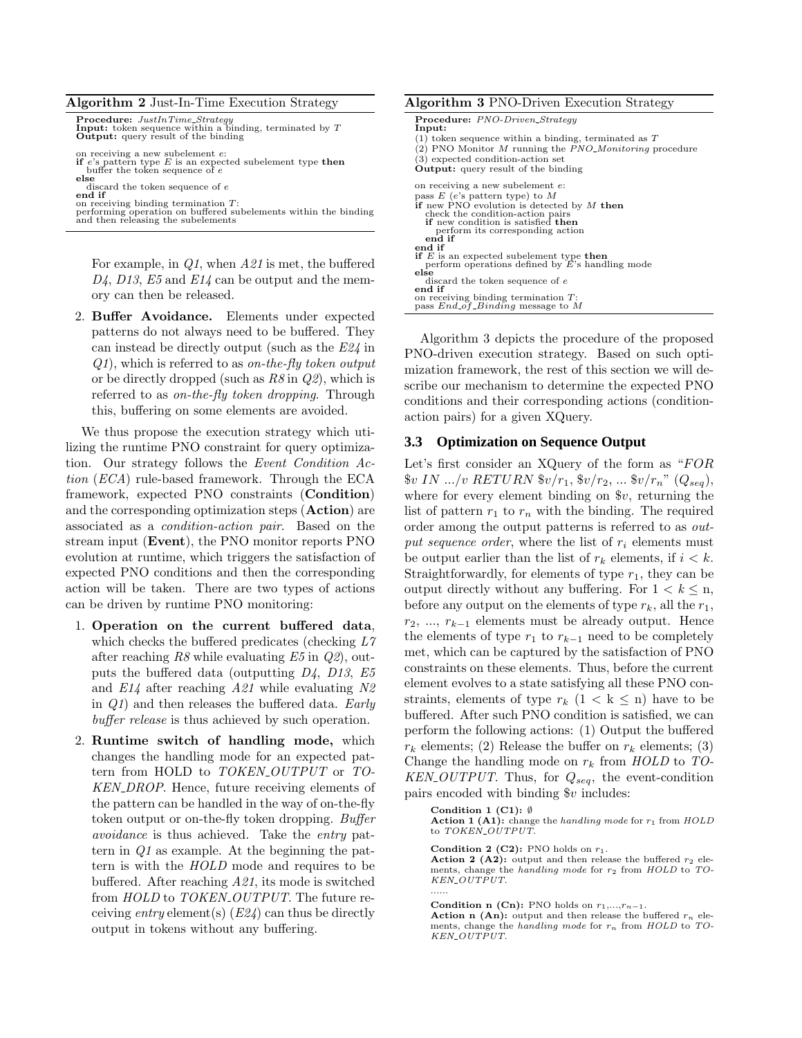| <b>Algorithm 2</b> Just-In-Time Execution Strategy                                                                                                                                                                                                         | <b>Algorithm 3 PNO-Driven Execution Strategy</b>                                                                                                                                                                                                                                   |
|------------------------------------------------------------------------------------------------------------------------------------------------------------------------------------------------------------------------------------------------------------|------------------------------------------------------------------------------------------------------------------------------------------------------------------------------------------------------------------------------------------------------------------------------------|
| <b>Procedure:</b> JustInTime_Strategy<br><b>Input:</b> token sequence within a binding, terminated by $T$<br><b>Output:</b> query result of the binding<br>on receiving a new subelement e:<br>if e's pattern type $E$ is an expected subelement type then | <b>Procedure:</b> PNO-Driven_Strategy<br>Input:<br>$(1)$ token sequence within a binding, terminated as T<br>$(2)$ PNO Monitor M running the <i>PNO_Monitoring</i> procedure<br>(3) expected condition-action set                                                                  |
| buffer the token sequence of e<br>else<br>discard the token sequence of e<br>end if<br>on receiving binding termination $T$ :<br>performing operation on buffered subelements within the binding<br>and then releasing the subelements                     | <b>Output:</b> query result of the binding<br>on receiving a new subelement e:<br>pass $E$ (e's pattern type) to $M$<br>if new PNO evolution is detected by $M$ then<br>check the condition-action pairs<br>if new condition is satisfied then<br>perform its corresponding action |
| For example, in $Q1$ , when $A21$ is met, the buffered<br>$D_4$ , D13, E5 and E14 can be output and the mem-<br>ory can then be released.                                                                                                                  | end if<br>end if<br><b>if</b> $E$ is an expected subelement type <b>then</b><br>perform operations defined by $\vec{E}$ 's handling mode<br>else<br>discard the token sequence of e<br>end if<br>on receiving binding termination $T$ :<br>pass $End\_of\_Binding$ message to M    |

2. Buffer Avoidance. Elements under expected patterns do not always need to be buffered. They can instead be directly output (such as the E24 in  $Q_1$ , which is referred to as on-the-fly token output or be directly dropped (such as  $R\delta$  in  $Q\ell$ ), which is referred to as *on-the-fly token dropping*. Through this, buffering on some elements are avoided.

We thus propose the execution strategy which utilizing the runtime PNO constraint for query optimization. Our strategy follows the Event Condition Action (ECA) rule-based framework. Through the ECA framework, expected PNO constraints (Condition) and the corresponding optimization steps (Action) are associated as a condition-action pair. Based on the stream input (Event), the PNO monitor reports PNO evolution at runtime, which triggers the satisfaction of expected PNO conditions and then the corresponding action will be taken. There are two types of actions can be driven by runtime PNO monitoring:

- 1. Operation on the current buffered data, which checks the buffered predicates (checking  $L7$ after reaching  $R8$  while evaluating  $E5$  in  $Q2$ ), outputs the buffered data (outputting  $D_4$ ,  $D_13$ ,  $E_5$ and  $E14$  after reaching  $A21$  while evaluating  $N2$ in  $Q_1$  and then releases the buffered data. Early buffer release is thus achieved by such operation.
- 2. Runtime switch of handling mode, which changes the handling mode for an expected pattern from HOLD to TOKEN\_OUTPUT or TO-KEN\_DROP. Hence, future receiving elements of the pattern can be handled in the way of on-the-fly token output or on-the-fly token dropping. Buffer avoidance is thus achieved. Take the entry pattern in Q1 as example. At the beginning the pattern is with the HOLD mode and requires to be buffered. After reaching A21, its mode is switched from HOLD to TOKEN\_OUTPUT. The future receiving entry element(s)  $(E24)$  can thus be directly output in tokens without any buffering.

Algorithm 3 depicts the procedure of the proposed PNO-driven execution strategy. Based on such optimization framework, the rest of this section we will describe our mechanism to determine the expected PNO conditions and their corresponding actions (conditionaction pairs) for a given XQuery.

## **3.3 Optimization on Sequence Output**

Let's first consider an XQuery of the form as  $"FOR$  $v IN ... / v$  RETURN  $v/r_1, v/r_2, ... v/r_n$ " ( $Q_{seq}$ ), where for every element binding on \$v, returning the list of pattern  $r_1$  to  $r_n$  with the binding. The required order among the output patterns is referred to as output sequence order, where the list of  $r_i$  elements must be output earlier than the list of  $r_k$  elements, if  $i < k$ . Straightforwardly, for elements of type  $r_1$ , they can be output directly without any buffering. For  $1 < k \leq n$ , before any output on the elements of type  $r_k$ , all the  $r_1$ ,  $r_2, \ldots, r_{k-1}$  elements must be already output. Hence the elements of type  $r_1$  to  $r_{k-1}$  need to be completely met, which can be captured by the satisfaction of PNO constraints on these elements. Thus, before the current element evolves to a state satisfying all these PNO constraints, elements of type  $r_k$   $(1 \lt k \leq n)$  have to be buffered. After such PNO condition is satisfied, we can perform the following actions: (1) Output the buffered  $r_k$  elements; (2) Release the buffer on  $r_k$  elements; (3) Change the handling mode on  $r_k$  from  $HOLD$  to  $TO KEN$ - $OUTPUT$ . Thus, for  $Q_{seq}$ , the event-condition pairs encoded with binding  $v$  includes:

Condition 1 (C1):  $\emptyset$ 

Action 1 (A1): change the handling mode for  $r_1$  from HOLD to TOKEN\_OUTPUT.

Condition 2 (C2): PNO holds on  $r_1$ .

Action 2 (A2): output and then release the buffered  $r_2$  elements, change the handling mode for  $r_2$  from HOLD to TO-KEN\_OUTPUT. ......

Condition n (Cn): PNO holds on  $r_1,...,r_{n-1}$ .

Action n (An): output and then release the buffered  $r_n$  elements, change the handling mode for  $r_n$  from HOLD to TO-KEN\_OUTPUT.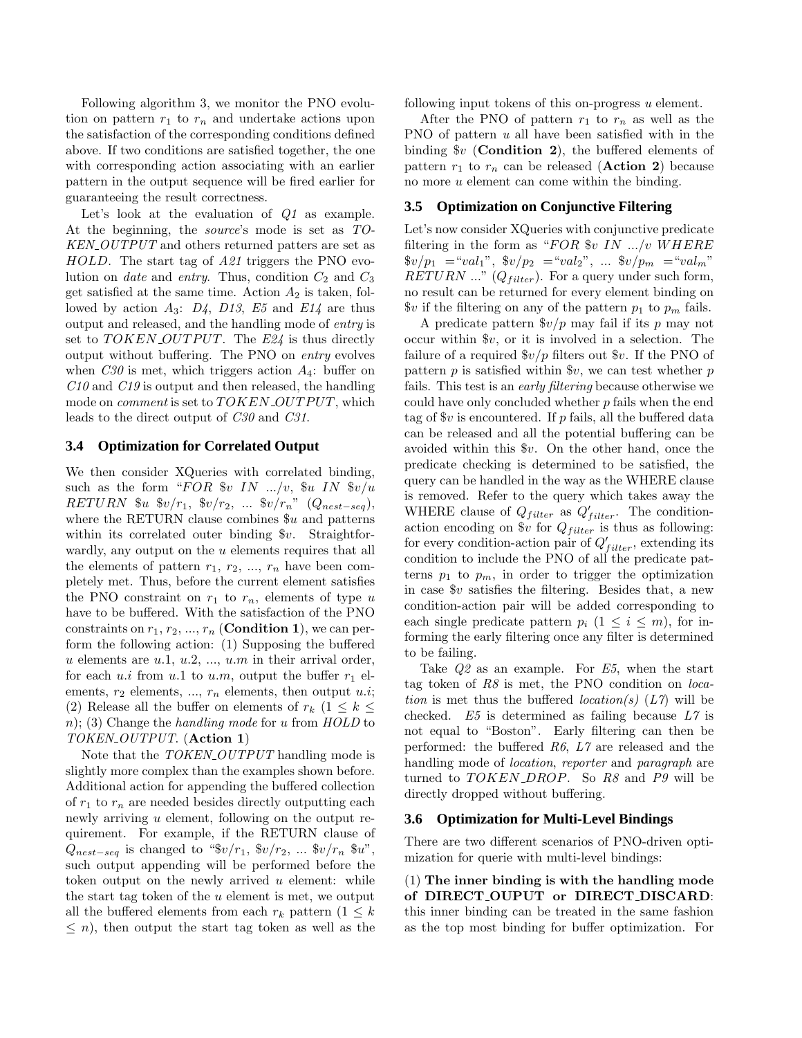Following algorithm 3, we monitor the PNO evolution on pattern  $r_1$  to  $r_n$  and undertake actions upon the satisfaction of the corresponding conditions defined above. If two conditions are satisfied together, the one with corresponding action associating with an earlier pattern in the output sequence will be fired earlier for guaranteeing the result correctness.

Let's look at the evaluation of Q1 as example. At the beginning, the source's mode is set as TO-KEN\_OUTPUT and others returned patters are set as HOLD. The start tag of A21 triggers the PNO evolution on *date* and *entry*. Thus, condition  $C_2$  and  $C_3$ get satisfied at the same time. Action  $A_2$  is taken, followed by action  $A_3$ :  $D_4$ ,  $D_13$ ,  $E_5$  and  $E_14$  are thus output and released, and the handling mode of entry is set to  $TOKEN\_OUTPUT$ . The  $E24$  is thus directly output without buffering. The PNO on entry evolves when  $C30$  is met, which triggers action  $A_4$ : buffer on  $C10$  and  $C19$  is output and then released, the handling mode on *comment* is set to  $TOKEN$ - $OUTPUT$ , which leads to the direct output of C30 and C31.

### **3.4 Optimization for Correlated Output**

We then consider XQueries with correlated binding, such as the form "FOR  $v \in IN$  .../v,  $u \in IN \$ RETURN  $\&u \&v/r_1, \&v/r_2, \ldots \&v/r_n$ " ( $Q_{nest-seq}$ ), where the RETURN clause combines  $u$  and patterns within its correlated outer binding  $v$ . Straightforwardly, any output on the u elements requires that all the elements of pattern  $r_1, r_2, ..., r_n$  have been completely met. Thus, before the current element satisfies the PNO constraint on  $r_1$  to  $r_n$ , elements of type u have to be buffered. With the satisfaction of the PNO constraints on  $r_1, r_2, ..., r_n$  (**Condition 1**), we can perform the following action: (1) Supposing the buffered u elements are  $u.1, u.2, ..., u.m$  in their arrival order, for each u.i from u.1 to u.m, output the buffer  $r_1$  elements,  $r_2$  elements, ...,  $r_n$  elements, then output u.i; (2) Release all the buffer on elements of  $r_k$  (1  $\leq k \leq$ n); (3) Change the handling mode for u from  $HOLD$  to TOKEN\_OUTPUT. (Action 1)

Note that the TOKEN\_OUTPUT handling mode is slightly more complex than the examples shown before. Additional action for appending the buffered collection of  $r_1$  to  $r_n$  are needed besides directly outputting each newly arriving  $u$  element, following on the output requirement. For example, if the RETURN clause of  $Q_{nest-seq}$  is changed to " $\sqrt[6]{r_1}, \sqrt[6]{r_2}, \dots \sqrt[6]{r_n} \sqrt[6]{u}$ ", such output appending will be performed before the token output on the newly arrived  $u$  element: while the start tag token of the  $u$  element is met, we output all the buffered elements from each  $r_k$  pattern  $(1 \leq k)$  $\leq n$ , then output the start tag token as well as the

following input tokens of this on-progress u element.

After the PNO of pattern  $r_1$  to  $r_n$  as well as the PNO of pattern u all have been satisfied with in the binding  $v$  (Condition 2), the buffered elements of pattern  $r_1$  to  $r_n$  can be released (**Action 2**) because no more u element can come within the binding.

#### **3.5 Optimization on Conjunctive Filtering**

Let's now consider XQueries with conjunctive predicate filtering in the form as " $FOR$  \$v IN .../v WHERE  $\frac{1}{2} \cdot \frac{1}{2} = \frac{1}{2} \cdot \frac{1}{2} \cdot \frac{1}{2} = \frac{1}{2} \cdot \frac{1}{2} \cdot \frac{1}{2} \cdot \frac{1}{2} \cdot \frac{1}{2} \cdot \frac{1}{2} \cdot \frac{1}{2} \cdot \frac{1}{2} \cdot \frac{1}{2} \cdot \frac{1}{2} \cdot \frac{1}{2} \cdot \frac{1}{2} \cdot \frac{1}{2} \cdot \frac{1}{2} \cdot \frac{1}{2} \cdot \frac{1}{2} \cdot \frac{1}{2} \cdot \frac{1}{2} \cdot \frac{1}{2} \cdot \frac{1}{2$  $RETURN ...$ " ( $Q_{filter}$ ). For a query under such form, no result can be returned for every element binding on  $\mathcal{F}v$  if the filtering on any of the pattern  $p_1$  to  $p_m$  fails.

A predicate pattern  $\frac{6v}{p}$  may fail if its p may not occur within  $v$ , or it is involved in a selection. The failure of a required  $\sqrt[6]{v}$  filters out  $v$ . If the PNO of pattern  $p$  is satisfied within  $v$ , we can test whether  $p$ fails. This test is an early filtering because otherwise we could have only concluded whether  $p$  fails when the end tag of  $v$  is encountered. If p fails, all the buffered data can be released and all the potential buffering can be avoided within this \$v. On the other hand, once the predicate checking is determined to be satisfied, the query can be handled in the way as the WHERE clause is removed. Refer to the query which takes away the WHERE clause of  $Q_{filter}$  as  $Q'_{filter}$ . The conditionaction encoding on  $v$  for  $Q_{filter}$  is thus as following: for every condition-action pair of  $Q'_{filter}$ , extending its condition to include the PNO of all the predicate patterns  $p_1$  to  $p_m$ , in order to trigger the optimization in case \$v satisfies the filtering. Besides that, a new condition-action pair will be added corresponding to each single predicate pattern  $p_i$   $(1 \leq i \leq m)$ , for informing the early filtering once any filter is determined to be failing.

Take  $Q2$  as an example. For  $E5$ , when the start tag token of R8 is met, the PNO condition on location is met thus the buffered  $location(s)$  ( $L7$ ) will be checked.  $E5$  is determined as failing because  $L7$  is not equal to "Boston". Early filtering can then be performed: the buffered R6, L7 are released and the handling mode of location, reporter and paragraph are turned to  $TOKEN\_DROP$ . So R8 and P9 will be directly dropped without buffering.

#### **3.6 Optimization for Multi-Level Bindings**

There are two different scenarios of PNO-driven optimization for querie with multi-level bindings:

(1) The inner binding is with the handling mode of DIRECT OUPUT or DIRECT DISCARD: this inner binding can be treated in the same fashion as the top most binding for buffer optimization. For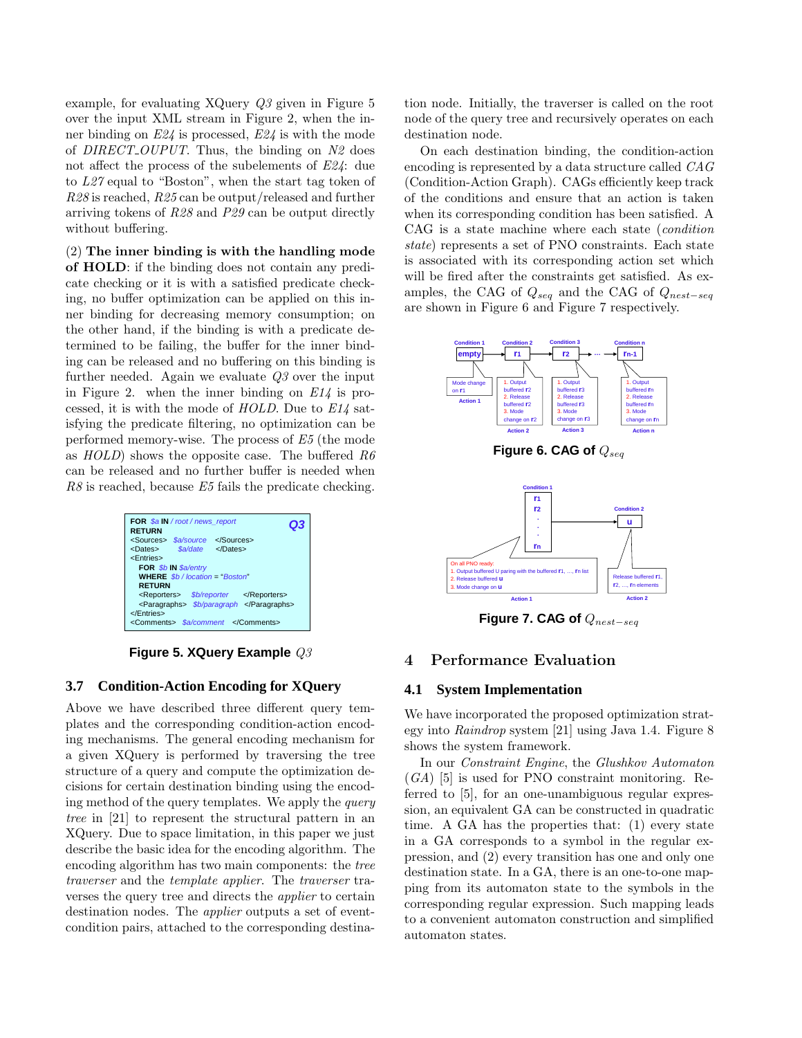example, for evaluating XQuery Q3 given in Figure 5 over the input XML stream in Figure 2, when the inner binding on E24 is processed, E24 is with the mode of DIRECT\_OUPUT. Thus, the binding on  $N2$  does not affect the process of the subelements of E24: due to L27 equal to "Boston", when the start tag token of R28 is reached, R25 can be output/released and further arriving tokens of R28 and P29 can be output directly without buffering.

(2) The inner binding is with the handling mode of HOLD: if the binding does not contain any predicate checking or it is with a satisfied predicate checking, no buffer optimization can be applied on this inner binding for decreasing memory consumption; on the other hand, if the binding is with a predicate determined to be failing, the buffer for the inner binding can be released and no buffering on this binding is further needed. Again we evaluate  $Q3$  over the input in Figure 2. when the inner binding on  $E14$  is processed, it is with the mode of  $HOLD$ . Due to  $E14$  satisfying the predicate filtering, no optimization can be performed memory-wise. The process of E5 (the mode as  $HOLD$  shows the opposite case. The buffered R6 can be released and no further buffer is needed when R8 is reached, because E5 fails the predicate checking.

| FOR \$a IN / root / news report                 | Q3 |  |  |  |
|-------------------------------------------------|----|--|--|--|
| <b>RETURN</b>                                   |    |  |  |  |
| <sources> \$a/source </sources>                 |    |  |  |  |
| <dates> Sa/date </dates>                        |    |  |  |  |
| <entries></entries>                             |    |  |  |  |
| FOR \$b IN \$a/entry                            |    |  |  |  |
| <b>WHERE</b> $$b$ / location = "Boston"         |    |  |  |  |
| <b>RETURN</b>                                   |    |  |  |  |
| <reporters> <i>\$b/reporter</i> </reporters>    |    |  |  |  |
| <paragraphs> <i>\$b/paragraph </i></paragraphs> |    |  |  |  |
|                                                 |    |  |  |  |
| <comments> \$a/comment </comments>              |    |  |  |  |

**Figure 5. XQuery Example** Q3

# **3.7 Condition-Action Encoding for XQuery**

Above we have described three different query templates and the corresponding condition-action encoding mechanisms. The general encoding mechanism for a given XQuery is performed by traversing the tree structure of a query and compute the optimization decisions for certain destination binding using the encoding method of the query templates. We apply the query tree in [21] to represent the structural pattern in an XQuery. Due to space limitation, in this paper we just describe the basic idea for the encoding algorithm. The encoding algorithm has two main components: the tree traverser and the template applier. The traverser traverses the query tree and directs the applier to certain destination nodes. The applier outputs a set of eventcondition pairs, attached to the corresponding destination node. Initially, the traverser is called on the root node of the query tree and recursively operates on each destination node.

On each destination binding, the condition-action encoding is represented by a data structure called CAG (Condition-Action Graph). CAGs efficiently keep track of the conditions and ensure that an action is taken when its corresponding condition has been satisfied. A CAG is a state machine where each state (condition state) represents a set of PNO constraints. Each state is associated with its corresponding action set which will be fired after the constraints get satisfied. As examples, the CAG of  $Q_{seq}$  and the CAG of  $Q_{nest-seq}$ are shown in Figure 6 and Figure 7 respectively.



**Figure 7. CAG of**  $Q_{nest-seq}$ 

## 4 Performance Evaluation

## **4.1 System Implementation**

We have incorporated the proposed optimization strategy into Raindrop system [21] using Java 1.4. Figure 8 shows the system framework.

In our Constraint Engine, the Glushkov Automaton  $(GA)$  [5] is used for PNO constraint monitoring. Referred to [5], for an one-unambiguous regular expression, an equivalent GA can be constructed in quadratic time. A GA has the properties that: (1) every state in a GA corresponds to a symbol in the regular expression, and (2) every transition has one and only one destination state. In a GA, there is an one-to-one mapping from its automaton state to the symbols in the corresponding regular expression. Such mapping leads to a convenient automaton construction and simplified automaton states.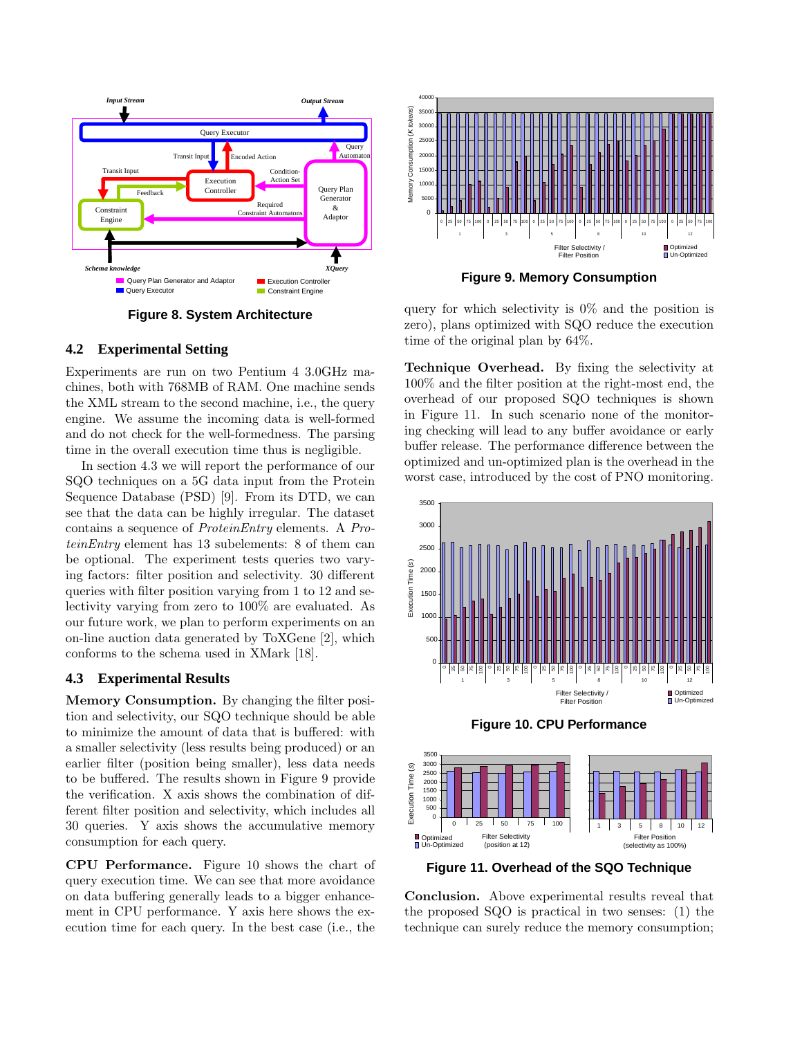



**Figure 9. Memory Consumption**

**Figure 8. System Architecture**

## **4.2 Experimental Setting**

Experiments are run on two Pentium 4 3.0GHz machines, both with 768MB of RAM. One machine sends the XML stream to the second machine, i.e., the query engine. We assume the incoming data is well-formed and do not check for the well-formedness. The parsing time in the overall execution time thus is negligible.

In section 4.3 we will report the performance of our SQO techniques on a 5G data input from the Protein Sequence Database (PSD) [9]. From its DTD, we can see that the data can be highly irregular. The dataset contains a sequence of ProteinEntry elements. A ProteinEntry element has 13 subelements: 8 of them can be optional. The experiment tests queries two varying factors: filter position and selectivity. 30 different queries with filter position varying from 1 to 12 and selectivity varying from zero to 100% are evaluated. As our future work, we plan to perform experiments on an on-line auction data generated by ToXGene [2], which conforms to the schema used in XMark [18].

# **4.3 Experimental Results**

Memory Consumption. By changing the filter position and selectivity, our SQO technique should be able to minimize the amount of data that is buffered: with a smaller selectivity (less results being produced) or an earlier filter (position being smaller), less data needs to be buffered. The results shown in Figure 9 provide the verification. X axis shows the combination of different filter position and selectivity, which includes all 30 queries. Y axis shows the accumulative memory consumption for each query.

CPU Performance. Figure 10 shows the chart of query execution time. We can see that more avoidance on data buffering generally leads to a bigger enhancement in CPU performance. Y axis here shows the execution time for each query. In the best case (i.e., the

query for which selectivity is  $0\%$  and the position is zero), plans optimized with SQO reduce the execution time of the original plan by 64%.

Technique Overhead. By fixing the selectivity at 100% and the filter position at the right-most end, the overhead of our proposed SQO techniques is shown in Figure 11. In such scenario none of the monitoring checking will lead to any buffer avoidance or early buffer release. The performance difference between the optimized and un-optimized plan is the overhead in the worst case, introduced by the cost of PNO monitoring.



**Figure 10. CPU Performance**



**Figure 11. Overhead of the SQO Technique**

Conclusion. Above experimental results reveal that the proposed SQO is practical in two senses: (1) the technique can surely reduce the memory consumption;